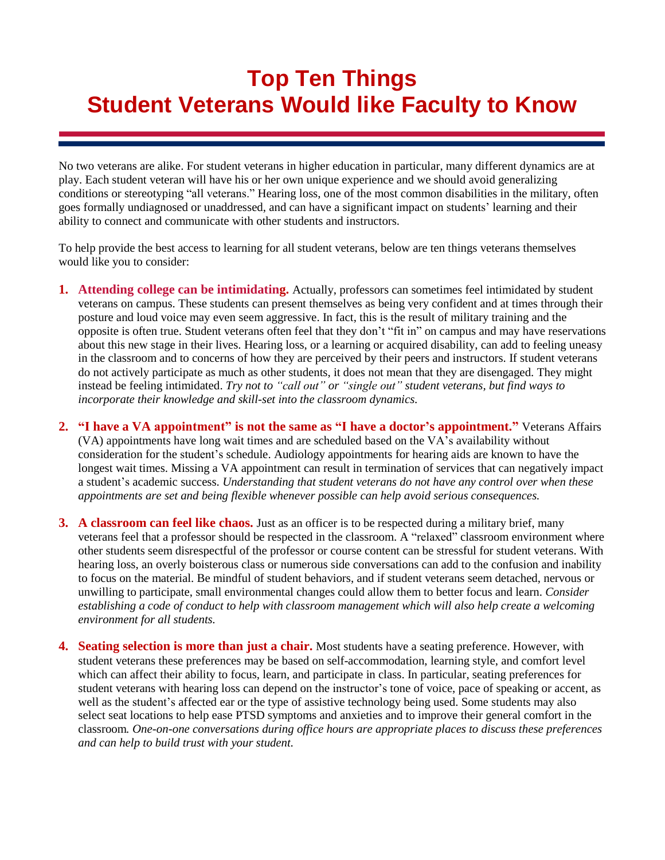## **Top Ten Things Student Veterans Would like Faculty to Know**

No two veterans are alike. For student veterans in higher education in particular, many different dynamics are at play. Each student veteran will have his or her own unique experience and we should avoid generalizing conditions or stereotyping "all veterans." Hearing loss, one of the most common disabilities in the military, often goes formally undiagnosed or unaddressed, and can have a significant impact on students' learning and their ability to connect and communicate with other students and instructors.

To help provide the best access to learning for all student veterans, below are ten things veterans themselves would like you to consider:

- **1. Attending college can be intimidating.** Actually, professors can sometimes feel intimidated by student veterans on campus. These students can present themselves as being very confident and at times through their posture and loud voice may even seem aggressive. In fact, this is the result of military training and the opposite is often true. Student veterans often feel that they don't "fit in" on campus and may have reservations about this new stage in their lives. Hearing loss, or a learning or acquired disability, can add to feeling uneasy in the classroom and to concerns of how they are perceived by their peers and instructors. If student veterans do not actively participate as much as other students, it does not mean that they are disengaged. They might instead be feeling intimidated. *Try not to "call out" or "single out" student veterans, but find ways to incorporate their knowledge and skill-set into the classroom dynamics.*
- **2. "I have a VA appointment" is not the same as "I have a doctor's appointment."** Veterans Affairs (VA) appointments have long wait times and are scheduled based on the VA's availability without consideration for the student's schedule. Audiology appointments for hearing aids are known to have the longest wait times. Missing a VA appointment can result in termination of services that can negatively impact a student's academic success. *Understanding that student veterans do not have any control over when these appointments are set and being flexible whenever possible can help avoid serious consequences.*
- **3. A classroom can feel like chaos.** Just as an officer is to be respected during a military brief, many veterans feel that a professor should be respected in the classroom. A "relaxed" classroom environment where other students seem disrespectful of the professor or course content can be stressful for student veterans. With hearing loss, an overly boisterous class or numerous side conversations can add to the confusion and inability to focus on the material. Be mindful of student behaviors, and if student veterans seem detached, nervous or unwilling to participate, small environmental changes could allow them to better focus and learn. *Consider establishing a code of conduct to help with classroom management which will also help create a welcoming environment for all students.*
- **4. Seating selection is more than just a chair.** Most students have a seating preference. However, with student veterans these preferences may be based on self-accommodation, learning style, and comfort level which can affect their ability to focus, learn, and participate in class. In particular, seating preferences for student veterans with hearing loss can depend on the instructor's tone of voice, pace of speaking or accent, as well as the student's affected ear or the type of assistive technology being used. Some students may also select seat locations to help ease PTSD symptoms and anxieties and to improve their general comfort in the classroom*. One-on-one conversations during office hours are appropriate places to discuss these preferences and can help to build trust with your student.*